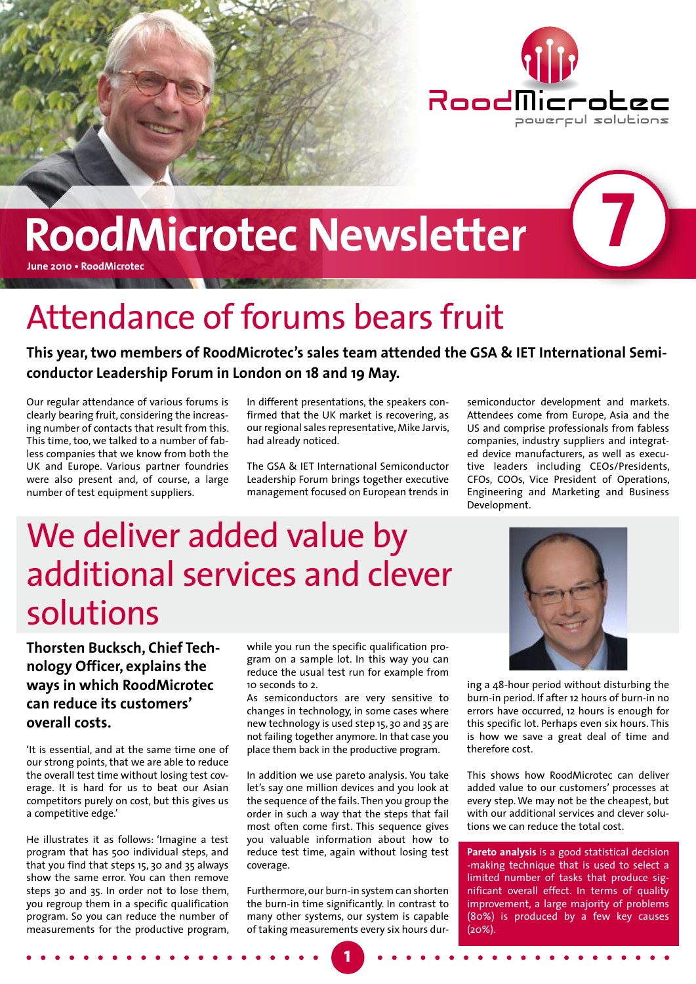

**7**

# **RoodMicrotec Newsletter**

**June 2010 • RoodMicrotec**

## Attendance of forums bears fruit

**This year, two members of RoodMicrotec's sales team attended the GSA & IET International Semiconductor Leadership Forum in London on 18 and 19 May.**

Our regular attendance of various forums is clearly bearing fruit, considering the increasing number of contacts that result from this. This time, too, we talked to a number of fabless companies that we know from both the UK and Europe. Various partner foundries were also present and, of course, a large number of test equipment suppliers.

In different presentations, the speakers confirmed that the UK market is recovering, as our regional sales representative, Mike Jarvis, had already noticed.

The GSA & IET International Semiconductor Leadership Forum brings together executive management focused on European trends in

semiconductor development and markets. Attendees come from Europe, Asia and the US and comprise professionals from fabless companies, industry suppliers and integrated device manufacturers, as well as executive leaders including CEOs/Presidents, CFOs, COOs, Vice President of Operations, Engineering and Marketing and Business Development.

### We deliver added value by additional services and clever solutions

**Thorsten Bucksch, Chief Technology Officer, explains the ways in which RoodMicrotec can reduce its customers' overall costs.** 

'It is essential, and at the same time one of our strong points, that we are able to reduce the overall test time without losing test coverage. It is hard for us to beat our Asian competitors purely on cost, but this gives us a competitive edge.'

He illustrates it as follows: 'Imagine a test program that has 500 individual steps, and that you find that steps 15, 30 and 35 always show the same error. You can then remove steps 30 and 35. In order not to lose them, you regroup them in a specific qualification program. So you can reduce the number of measurements for the productive program,

while you run the specific qualification program on a sample lot. In this way you can reduce the usual test run for example from 10 seconds to 2.

As semiconductors are very sensitive to changes in technology, in some cases where new technology is used step 15, 30 and 35 are not failing together anymore. In that case you place them back in the productive program.

In addition we use pareto analysis. You take let's say one million devices and you look at the sequence of the fails. Then you group the order in such a way that the steps that fail most often come first. This sequence gives you valuable information about how to reduce test time, again without losing test coverage.

Furthermore, our burn-in system can shorten the burn-in time significantly. In contrast to many other systems, our system is capable of taking measurements every six hours dur-

**1**



ing a 48-hour period without disturbing the burn-in period. If after 12 hours of burn-in no errors have occurred, 12 hours is enough for this specific lot. Perhaps even six hours. This is how we save a great deal of time and therefore cost.

This shows how RoodMicrotec can deliver added value to our customers' processes at every step. We may not be the cheapest, but with our additional services and clever solutions we can reduce the total cost.

**Pareto analysis** is a good statistical decision -making technique that is used to select a limited number of tasks that produce significant overall effect. In terms of quality improvement, a large majority of problems (80%) is produced by a few key causes  $(20\%)$